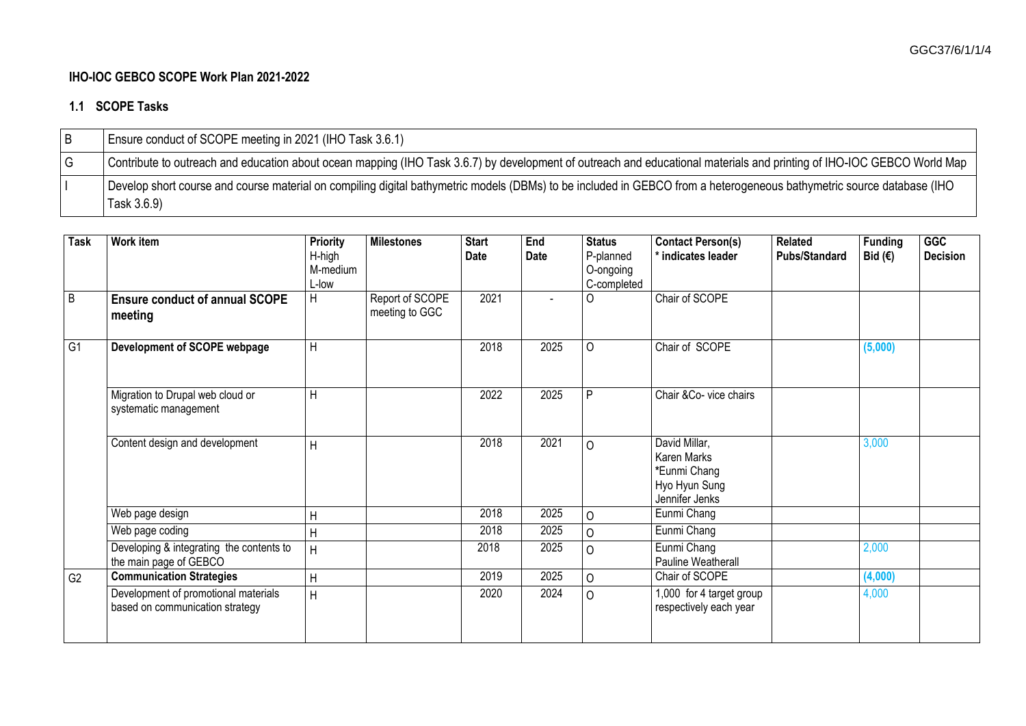## **IHO-IOC GEBCO SCOPE Work Plan 2021-2022**

## **1.1 SCOPE Tasks**

| Ensure conduct of SCOPE meeting in 2021 (IHO Task 3.6.1)                                                                                                                             |
|--------------------------------------------------------------------------------------------------------------------------------------------------------------------------------------|
| Contribute to outreach and education about ocean mapping (IHO Task 3.6.7) by development of outreach and educational materials and printing of IHO-IOC GEBCO World Map               |
| Develop short course and course material on compiling digital bathymetric models (DBMs) to be included in GEBCO from a heterogeneous bathymetric source database (IHO<br>Task 3.6.9) |

| <b>Task</b>    | Work item                                                               | <b>Priority</b><br>H-high<br>M-medium<br>L-low | <b>Milestones</b>                 | <b>Start</b><br><b>Date</b> | End<br><b>Date</b> | <b>Status</b><br>P-planned<br>O-ongoing<br>C-completed | <b>Contact Person(s)</b><br>* indicates leader                                  | <b>Related</b><br><b>Pubs/Standard</b> | <b>Funding</b><br>Bid $(€)$ | <b>GGC</b><br><b>Decision</b> |
|----------------|-------------------------------------------------------------------------|------------------------------------------------|-----------------------------------|-----------------------------|--------------------|--------------------------------------------------------|---------------------------------------------------------------------------------|----------------------------------------|-----------------------------|-------------------------------|
| $\overline{B}$ | <b>Ensure conduct of annual SCOPE</b><br>meeting                        | $\mathsf{H}$                                   | Report of SCOPE<br>meeting to GGC | 2021                        |                    | $\Omega$                                               | Chair of SCOPE                                                                  |                                        |                             |                               |
| G1             | Development of SCOPE webpage                                            | H                                              |                                   | 2018                        | 2025               | $\Omega$                                               | Chair of SCOPE                                                                  |                                        | (5,000)                     |                               |
|                | Migration to Drupal web cloud or<br>systematic management               | H                                              |                                   | 2022                        | 2025               | P                                                      | Chair & Co-vice chairs                                                          |                                        |                             |                               |
|                | Content design and development                                          | H                                              |                                   | 2018                        | 2021               | $\Omega$                                               | David Millar,<br>Karen Marks<br>*Eunmi Chang<br>Hyo Hyun Sung<br>Jennifer Jenks |                                        | 3,000                       |                               |
|                | Web page design                                                         | H                                              |                                   | 2018                        | 2025               | $\Omega$                                               | Eunmi Chang                                                                     |                                        |                             |                               |
|                | Web page coding                                                         | H                                              |                                   | 2018                        | 2025               | $\Omega$                                               | Eunmi Chang                                                                     |                                        |                             |                               |
|                | Developing & integrating the contents to<br>the main page of GEBCO      | H                                              |                                   | 2018                        | 2025               | $\circ$                                                | Eunmi Chang<br>Pauline Weatherall                                               |                                        | 2,000                       |                               |
| G <sub>2</sub> | <b>Communication Strategies</b>                                         | H                                              |                                   | 2019                        | 2025               | $\Omega$                                               | Chair of SCOPE                                                                  |                                        | (4,000)                     |                               |
|                | Development of promotional materials<br>based on communication strategy | H                                              |                                   | 2020                        | 2024               | $\Omega$                                               | 1,000 for 4 target group<br>respectively each year                              |                                        | 4,000                       |                               |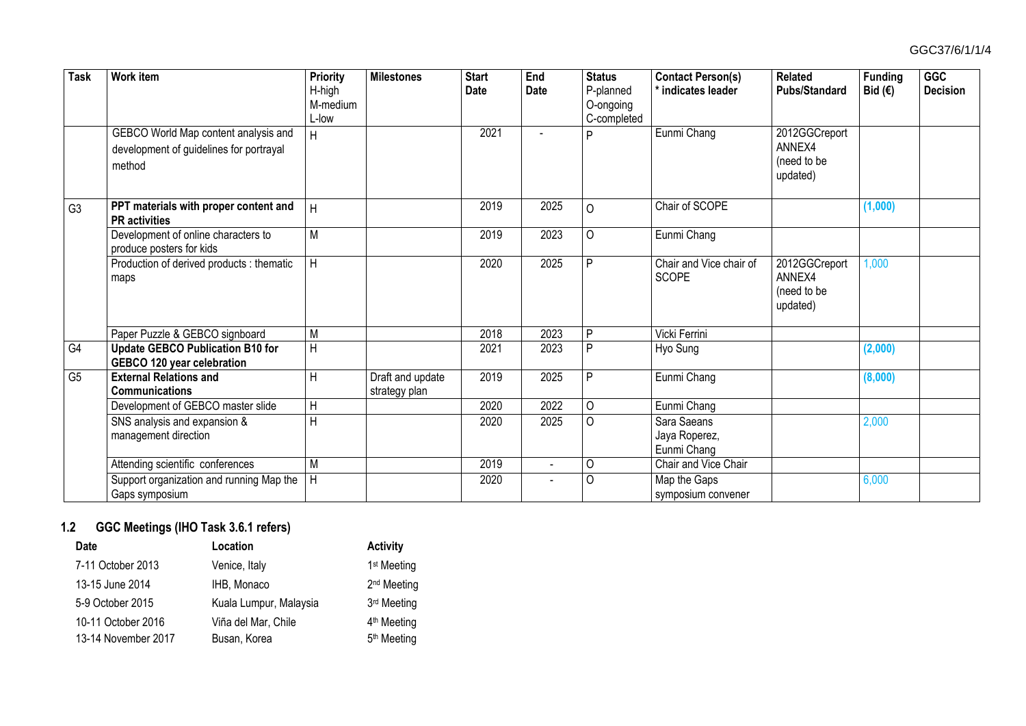| <b>Task</b>    | <b>Work item</b>                                                                          | Priority<br>H-high<br>M-medium<br>L-low | <b>Milestones</b>                 | <b>Start</b><br><b>Date</b> | End<br>Date    | <b>Status</b><br>P-planned<br>O-ongoing<br>C-completed | <b>Contact Person(s)</b><br>indicates leader | <b>Related</b><br><b>Pubs/Standard</b>             | <b>Funding</b><br>Bid $(E)$ | <b>GGC</b><br><b>Decision</b> |
|----------------|-------------------------------------------------------------------------------------------|-----------------------------------------|-----------------------------------|-----------------------------|----------------|--------------------------------------------------------|----------------------------------------------|----------------------------------------------------|-----------------------------|-------------------------------|
|                | GEBCO World Map content analysis and<br>development of guidelines for portrayal<br>method | H                                       |                                   | 2021                        |                | D                                                      | Eunmi Chang                                  | 2012GGCreport<br>ANNEX4<br>(need to be<br>updated) |                             |                               |
| G <sub>3</sub> | PPT materials with proper content and<br><b>PR</b> activities                             | H                                       |                                   | 2019                        | 2025           | $\Omega$                                               | Chair of SCOPE                               |                                                    | (1,000)                     |                               |
|                | Development of online characters to<br>produce posters for kids                           | $\overline{M}$                          |                                   | 2019                        | 2023           | $\circ$                                                | Eunmi Chang                                  |                                                    |                             |                               |
|                | Production of derived products : thematic<br>maps                                         | $\overline{H}$                          |                                   | 2020                        | 2025           | D                                                      | Chair and Vice chair of<br><b>SCOPE</b>      | 2012GGCreport<br>ANNEX4<br>(need to be<br>updated) | 1,000                       |                               |
|                | Paper Puzzle & GEBCO signboard                                                            | M                                       |                                   | 2018                        | 2023           | D                                                      | Vicki Ferrini                                |                                                    |                             |                               |
| G4             | <b>Update GEBCO Publication B10 for</b><br>GEBCO 120 year celebration                     | $\overline{H}$                          |                                   | 2021                        | 2023           | D                                                      | Hyo Sung                                     |                                                    | (2,000)                     |                               |
| G <sub>5</sub> | <b>External Relations and</b><br><b>Communications</b>                                    | H                                       | Draft and update<br>strategy plan | 2019                        | 2025           | D                                                      | Eunmi Chang                                  |                                                    | (8,000)                     |                               |
|                | Development of GEBCO master slide                                                         | $\overline{H}$                          |                                   | 2020                        | 2022           | $\Omega$                                               | Eunmi Chang                                  |                                                    |                             |                               |
|                | SNS analysis and expansion &<br>management direction                                      | $\overline{H}$                          |                                   | 2020                        | 2025           | $\Omega$                                               | Sara Saeans<br>Jaya Roperez,<br>Eunmi Chang  |                                                    | 2,000                       |                               |
|                | Attending scientific conferences                                                          | M                                       |                                   | 2019                        | $\blacksquare$ | O                                                      | Chair and Vice Chair                         |                                                    |                             |                               |
|                | Support organization and running Map the<br>Gaps symposium                                | $\overline{H}$                          |                                   | 2020                        |                | $\Omega$                                               | Map the Gaps<br>symposium convener           |                                                    | 6,000                       |                               |

## **1.2 GGC Meetings (IHO Task 3.6.1 refers)**

| <b>Date</b>         | Location               | <b>Activity</b>         |
|---------------------|------------------------|-------------------------|
| 7-11 October 2013   | Venice, Italy          | 1 <sup>st</sup> Meeting |
| 13-15 June 2014     | IHB, Monaco            | 2 <sup>nd</sup> Meeting |
| 5-9 October 2015    | Kuala Lumpur, Malaysia | 3 <sup>rd</sup> Meeting |
| 10-11 October 2016  | Viña del Mar, Chile    | 4 <sup>th</sup> Meeting |
| 13-14 November 2017 | Busan, Korea           | 5 <sup>th</sup> Meeting |